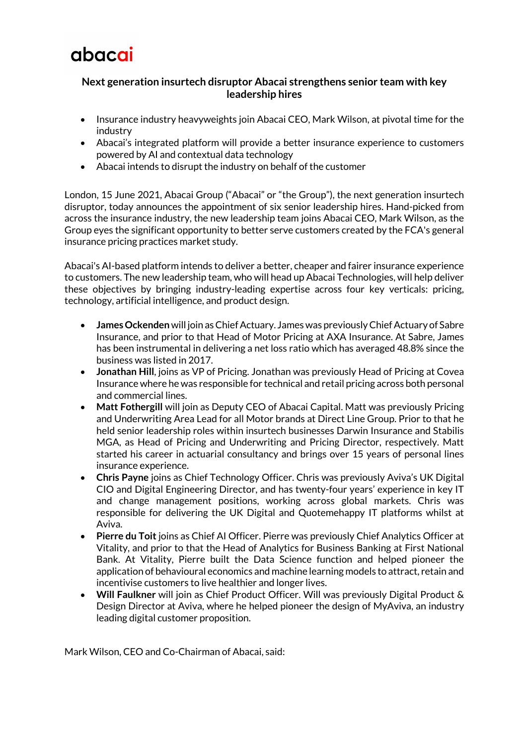

## **Next generation insurtech disruptor Abacai strengthens senior team with key leadership hires**

- Insurance industry heavyweights join Abacai CEO, Mark Wilson, at pivotal time for the industry
- Abacai's integrated platform will provide a better insurance experience to customers powered by AI and contextual data technology
- Abacai intends to disrupt the industry on behalf of the customer

London, 15 June 2021, Abacai Group ("Abacai" or "the Group"), the next generation insurtech disruptor, today announces the appointment of six senior leadership hires. Hand-picked from across the insurance industry, the new leadership team joins Abacai CEO, Mark Wilson, as the Group eyes the significant opportunity to better serve customers created by the FCA's general insurance pricing practices market study.

Abacai's AI-based platform intends to deliver a better, cheaper and fairer insurance experience to customers. The new leadership team, who will head up Abacai Technologies, will help deliver these objectives by bringing industry-leading expertise across four key verticals: pricing, technology, artificial intelligence, and product design.

- **James Ockenden**will join as Chief Actuary. James was previously Chief Actuary of Sabre Insurance, and prior to that Head of Motor Pricing at AXA Insurance. At Sabre, James has been instrumental in delivering a net loss ratio which has averaged 48.8% since the business was listed in 2017.
- **Jonathan Hill**, joins as VP of Pricing. Jonathan was previously Head of Pricing at Covea Insurance where he was responsible for technical and retail pricing across both personal and commercial lines.
- **Matt Fothergill** will join as Deputy CEO of Abacai Capital. Matt was previously Pricing and Underwriting Area Lead for all Motor brands at Direct Line Group. Prior to that he held senior leadership roles within insurtech businesses Darwin Insurance and Stabilis MGA, as Head of Pricing and Underwriting and Pricing Director, respectively. Matt started his career in actuarial consultancy and brings over 15 years of personal lines insurance experience.
- **Chris Payne** joins as Chief Technology Officer. Chris was previously Aviva's UK Digital CIO and Digital Engineering Director, and has twenty-four years' experience in key IT and change management positions, working across global markets. Chris was responsible for delivering the UK Digital and Quotemehappy IT platforms whilst at Aviva.
- **Pierre du Toit** joins as Chief AI Officer. Pierre was previously Chief Analytics Officer at Vitality, and prior to that the Head of Analytics for Business Banking at First National Bank. At Vitality, Pierre built the Data Science function and helped pioneer the application of behavioural economics and machine learning models to attract, retain and incentivise customers to live healthier and longer lives.
- **Will Faulkner** will join as Chief Product Officer. Will was previously Digital Product & Design Director at Aviva, where he helped pioneer the design of MyAviva, an industry leading digital customer proposition.

Mark Wilson, CEO and Co-Chairman of Abacai, said: